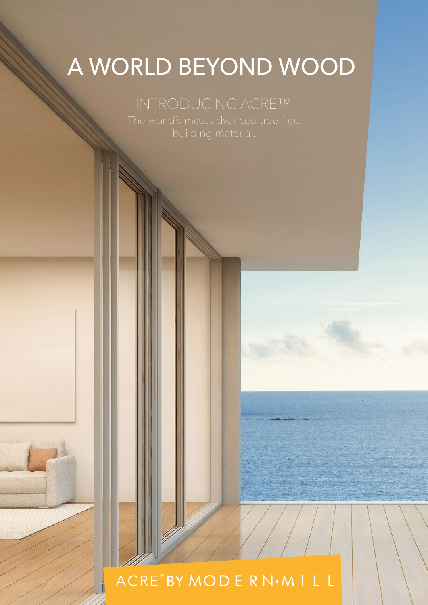### A WORLD BEYOND WOOD

ACRE<sup>™</sup>BY MODE RN·MILL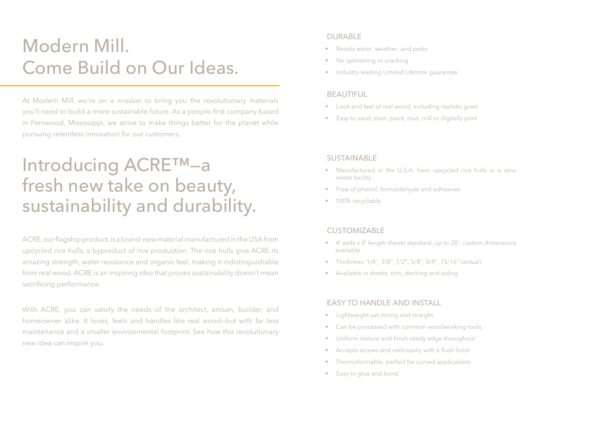## Introducing ACRE™—a fresh new take on beauty, sustainability and durability.

ACRE, our flagship product, is a brand-new material manufactured in the USA from upcycled rice hulls, a byproduct of rice production. The rice hulls give ACRE its amazing strength, water resistance and organic feel, making it indistinguishable from real wood. ACRE is an inspiring idea that proves sustainability doesn't mean sacrificing performance.

With ACRE, you can satisfy the needs of the architect, artisan, builder, and homeowner alike. It looks, feels and handles like real wood—but with far less maintenance and a smaller environmental footprint. See how this revolutionary new idea can inspire you.

- Resists water, weather, and pests
- No splintering or cracking
- Industry-leading Limited Lifetime guarantee

- Manufactured in the U.S.A. from upcycled rice hulls in a zerowaste facility
- Free of phenol, formaldehyde and adhesives
- 100% recyclable

#### **CUSTOMIZABLE**

# Modern Mill. Come Build on Our Ideas.

At Modern Mill, we're on a mission to bring you the revolutionary materials you'll need to build a more sustainable future. As a people-first company based in Fernwood, Mississippi, we strive to make things better for the planet while pursuing relentless innovation for our customers.

#### DURABLE

#### BEAUTIFUL

- Look and feel of real wood, including realistic grain
- Easy to sand, stain, paint, rout, mill or digitally print

#### **SUSTAINABLE**

- 4' wide x 8' length sheets standard, up to 20'; custom dimensions available
- Thickness: 1/4", 3/8", 1/2", 5/8", 3/4", 15/16" (actual)
- Available in sheets, trim, decking and siding

#### EASY TO HANDLE AND INSTALL

- Lightweight yet strong and straight
- Can be processed with common woodworking tools
- Uniform texture and finish-ready edge throughout
- Accepts screws and nails easily with a flush finish
- Thermoformable, perfect for curved applications
- Easy to glue and bond